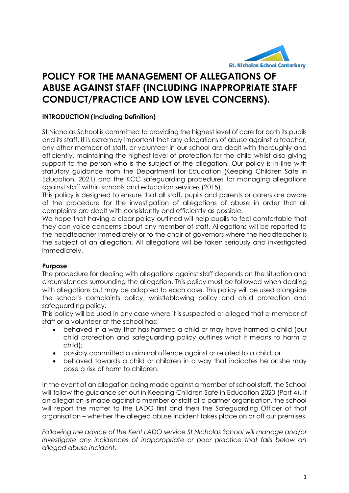

# **POLICY FOR THE MANAGEMENT OF ALLEGATIONS OF ABUSE AGAINST STAFF (INCLUDING INAPPROPRIATE STAFF CONDUCT/PRACTICE AND LOW LEVEL CONCERNS).**

## **INTRODUCTION (Including Definition)**

St Nicholas School is committed to providing the highest level of care for both its pupils and its staff. It is extremely important that any allegations of abuse against a teacher, any other member of staff, or volunteer in our school are dealt with thoroughly and efficiently, maintaining the highest level of protection for the child whilst also giving support to the person who is the subject of the allegation. Our policy is in line with statutory guidance from the Department for Education (Keeping Children Safe in Education, 2021) and the KCC safeguarding procedures for managing allegations against staff within schools and education services (2015).

This policy is designed to ensure that all staff, pupils and parents or carers are aware of the procedure for the investigation of allegations of abuse in order that all complaints are dealt with consistently and efficiently as possible.

We hope that having a clear policy outlined will help pupils to feel comfortable that they can voice concerns about any member of staff. Allegations will be reported to the headteacher immediately or to the chair of governors where the headteacher is the subject of an allegation. All allegations will be taken seriously and investigated immediately.

## **Purpose**

The procedure for dealing with allegations against staff depends on the situation and circumstances surrounding the allegation. This policy must be followed when dealing with allegations but may be adapted to each case. This policy will be used alongside the school's complaints policy, whistleblowing policy and child protection and safeguarding policy.

This policy will be used in any case where it is suspected or alleged that a member of staff or a volunteer at the school has:

- behaved in a way that has harmed a child or may have harmed a child (our child protection and safeguarding policy outlines what it means to harm a child);
- possibly committed a criminal offence against or related to a child; or
- behaved towards a child or children in a way that indicates he or she may pose a risk of harm to children.

In the event of an allegation being made against a member of school staff, the School will follow the guidance set out in Keeping Children Safe in Education 2020 (Part 4). If an allegation is made against a member of staff of a partner organisation, the school will report the matter to the LADO first and then the Safeguarding Officer of that organisation – whether the alleged abuse incident takes place on or off our premises.

*Following the advice of the Kent LADO service St Nicholas School will manage and/or investigate any incidences of inappropriate or poor practice that falls below an alleged abuse incident.*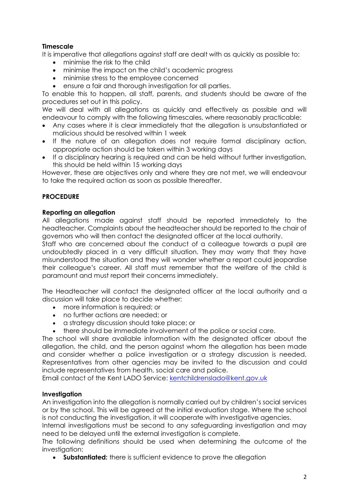# **Timescale**

It is imperative that allegations against staff are dealt with as quickly as possible to:

- minimise the risk to the child
- minimise the impact on the child's academic progress
- minimise stress to the employee concerned
- ensure a fair and thorough investigation for all parties.

To enable this to happen, all staff, parents, and students should be aware of the procedures set out in this policy.

We will deal with all allegations as quickly and effectively as possible and will endeavour to comply with the following timescales, where reasonably practicable:

- Any cases where it is clear immediately that the allegation is unsubstantiated or malicious should be resolved within 1 week
- If the nature of an allegation does not require formal disciplinary action, appropriate action should be taken within 3 working days
- If a disciplinary hearing is required and can be held without further investigation, this should be held within 15 working days

However, these are objectives only and where they are not met, we will endeavour to take the required action as soon as possible thereafter.

# **PROCEDURE**

#### **Reporting an allegation**

All allegations made against staff should be reported immediately to the headteacher. Complaints about the headteacher should be reported to the chair of governors who will then contact the designated officer at the local authority.

Staff who are concerned about the conduct of a colleague towards a pupil are undoubtedly placed in a very difficult situation. They may worry that they have misunderstood the situation and they will wonder whether a report could jeopardise their colleague's career. All staff must remember that the welfare of the child is paramount and must report their concerns immediately.

The Headteacher will contact the designated officer at the local authority and a discussion will take place to decide whether:

- more information is required; or
- no further actions are needed; or
- a strategy discussion should take place; or
- there should be immediate involvement of the police or social care.

The school will share available information with the designated officer about the allegation, the child, and the person against whom the allegation has been made and consider whether a police investigation or a strategy discussion is needed. Representatives from other agencies may be invited to the discussion and could include representatives from health, social care and police.

Email contact of the Kent LADO Service: [kentchildrenslado@kent.gov.uk](mailto:kentchildrenslado@kent.gov.uk)

## **Investigation**

An investigation into the allegation is normally carried out by children's social services or by the school. This will be agreed at the initial evaluation stage. Where the school is not conducting the investigation, it will cooperate with investigative agencies.

Internal investigations must be second to any safeguarding investigation and may need to be delayed until the external investigation is complete.

The following definitions should be used when determining the outcome of the investigation:

**Substantiated:** there is sufficient evidence to prove the allegation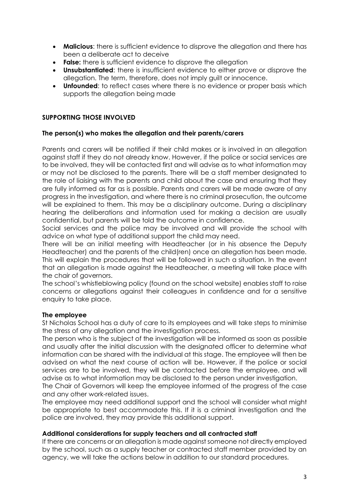- **Malicious:** there is sufficient evidence to disprove the allegation and there has been a deliberate act to deceive
- **False:** there is sufficient evidence to disprove the allegation
- **Unsubstantiated**: there is insufficient evidence to either prove or disprove the allegation. The term, therefore, does not imply guilt or innocence.
- **Unfounded:** to reflect cases where there is no evidence or proper basis which supports the allegation being made

## **SUPPORTING THOSE INVOLVED**

#### **The person(s) who makes the allegation and their parents/carers**

Parents and carers will be notified if their child makes or is involved in an allegation against staff if they do not already know. However, if the police or social services are to be involved, they will be contacted first and will advise as to what information may or may not be disclosed to the parents. There will be a staff member designated to the role of liaising with the parents and child about the case and ensuring that they are fully informed as far as is possible. Parents and carers will be made aware of any progress in the investigation, and where there is no criminal prosecution, the outcome will be explained to them. This may be a disciplinary outcome. During a disciplinary hearing the deliberations and information used for making a decision are usually confidential, but parents will be told the outcome in confidence.

Social services and the police may be involved and will provide the school with advice on what type of additional support the child may need.

There will be an initial meeting with Headteacher (or in his absence the Deputy Headteacher) and the parents of the child(ren) once an allegation has been made. This will explain the procedures that will be followed in such a situation. In the event that an allegation is made against the Headteacher, a meeting will take place with the chair of governors.

The school's whistleblowing policy (found on the school website) enables staff to raise concerns or allegations against their colleagues in confidence and for a sensitive enquiry to take place.

## **The employee**

St Nicholas School has a duty of care to its employees and will take steps to minimise the stress of any allegation and the investigation process.

The person who is the subject of the investigation will be informed as soon as possible and usually after the initial discussion with the designated officer to determine what information can be shared with the individual at this stage. The employee will then be advised on what the next course of action will be. However, if the police or social services are to be involved, they will be contacted before the employee, and will advise as to what information may be disclosed to the person under investigation.

The Chair of Governors will keep the employee informed of the progress of the case and any other work-related issues.

The employee may need additional support and the school will consider what might be appropriate to best accommodate this. If it is a criminal investigation and the police are involved, they may provide this additional support.

#### **Additional considerations for supply teachers and all contracted staff**

If there are concerns or an allegation is made against someone not directly employed by the school, such as a supply teacher or contracted staff member provided by an agency, we will take the actions below in addition to our standard procedures.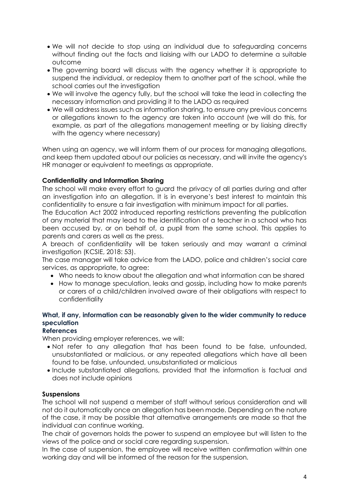- We will not decide to stop using an individual due to safeguarding concerns without finding out the facts and liaising with our LADO to determine a suitable outcome
- The governing board will discuss with the agency whether it is appropriate to suspend the individual, or redeploy them to another part of the school, while the school carries out the investigation
- We will involve the agency fully, but the school will take the lead in collecting the necessary information and providing it to the LADO as required
- We will address issues such as information sharing, to ensure any previous concerns or allegations known to the agency are taken into account (we will do this, for example, as part of the allegations management meeting or by liaising directly with the agency where necessary)

When using an agency, we will inform them of our process for managing allegations, and keep them updated about our policies as necessary, and will invite the agency's HR manager or equivalent to meetings as appropriate.

## **Confidentiality and Information Sharing**

The school will make every effort to guard the privacy of all parties during and after an investigation into an allegation. It is in everyone's best interest to maintain this confidentiality to ensure a fair investigation with minimum impact for all parties.

The Education Act 2002 introduced reporting restrictions preventing the publication of any material that may lead to the identification of a teacher in a school who has been accused by, or on behalf of, a pupil from the same school. This applies to parents and carers as well as the press.

A breach of confidentiality will be taken seriously and may warrant a criminal investigation (KCSIE, 2018: 53).

The case manager will take advice from the LADO, police and children's social care services, as appropriate, to agree:

- Who needs to know about the allegation and what information can be shared
- How to manage speculation, leaks and gossip, including how to make parents or carers of a child/children involved aware of their obligations with respect to confidentiality

## **What, if any, information can be reasonably given to the wider community to reduce speculation**

## **References**

When providing employer references, we will:

- Not refer to any allegation that has been found to be false, unfounded, unsubstantiated or malicious, or any repeated allegations which have all been found to be false, unfounded, unsubstantiated or malicious
- Include substantiated allegations, provided that the information is factual and does not include opinions

## **Suspensions**

The school will not suspend a member of staff without serious consideration and will not do it automatically once an allegation has been made. Depending on the nature of the case, it may be possible that alternative arrangements are made so that the individual can continue working.

The chair of governors holds the power to suspend an employee but will listen to the views of the police and or social care regarding suspension.

In the case of suspension, the employee will receive written confirmation within one working day and will be informed of the reason for the suspension.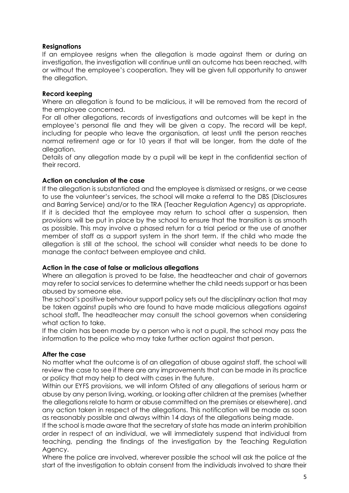## **Resignations**

If an employee resigns when the allegation is made against them or during an investigation, the investigation will continue until an outcome has been reached, with or without the employee's cooperation. They will be given full opportunity to answer the allegation.

## **Record keeping**

Where an allegation is found to be malicious, it will be removed from the record of the employee concerned.

For all other allegations, records of investigations and outcomes will be kept in the employee's personal file and they will be given a copy. The record will be kept, including for people who leave the organisation, at least until the person reaches normal retirement age or for 10 years if that will be longer, from the date of the allegation.

Details of any allegation made by a pupil will be kept in the confidential section of their record.

## **Action on conclusion of the case**

If the allegation is substantiated and the employee is dismissed or resigns, or we cease to use the volunteer's services, the school will make a referral to the DBS (Disclosures and Barring Service) and/or to the TRA (Teacher Regulation Agency) as appropriate. If it is decided that the employee may return to school after a suspension, then provisions will be put in place by the school to ensure that the transition is as smooth as possible. This may involve a phased return for a trial period or the use of another member of staff as a support system in the short term. If the child who made the allegation is still at the school, the school will consider what needs to be done to manage the contact between employee and child.

#### **Action in the case of false or malicious allegations**

Where an allegation is proved to be false, the headteacher and chair of governors may refer to social services to determine whether the child needs support or has been abused by someone else.

The school's positive behaviour support policy sets out the disciplinary action that may be taken against pupils who are found to have made malicious allegations against school staff**.** The headteacher may consult the school governors when considering what action to take.

If the claim has been made by a person who is not a pupil, the school may pass the information to the police who may take further action against that person.

## **After the case**

No matter what the outcome is of an allegation of abuse against staff, the school will review the case to see if there are any improvements that can be made in its practice or policy that may help to deal with cases in the future.

Within our EYFS provisions, we will inform Ofsted of any allegations of serious harm or abuse by any person living, working, or looking after children at the premises (whether the allegations relate to harm or abuse committed on the premises or elsewhere), and any action taken in respect of the allegations. This notification will be made as soon as reasonably possible and always within 14 days of the allegations being made.

If the school is made aware that the secretary of state has made an interim prohibition order in respect of an individual, we will immediately suspend that individual from teaching, pending the findings of the investigation by the Teaching Regulation Agency.

Where the police are involved, wherever possible the school will ask the police at the start of the investigation to obtain consent from the individuals involved to share their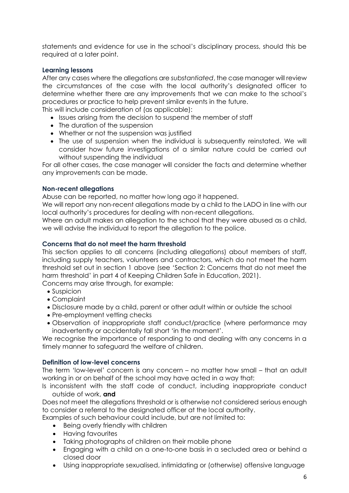statements and evidence for use in the school's disciplinary process, should this be required at a later point.

#### **Learning lessons**

After any cases where the allegations are *substantiated*, the case manager will review the circumstances of the case with the local authority's designated officer to determine whether there are any improvements that we can make to the school's procedures or practice to help prevent similar events in the future.

This will include consideration of (as applicable):

- Issues arising from the decision to suspend the member of staff
- The duration of the suspension
- Whether or not the suspension was justified
- The use of suspension when the individual is subsequently reinstated. We will consider how future investigations of a similar nature could be carried out without suspending the individual

For all other cases, the case manager will consider the facts and determine whether any improvements can be made.

#### **Non-recent allegations**

Abuse can be reported, no matter how long ago it happened.

We will report any non-recent allegations made by a child to the LADO in line with our local authority's procedures for dealing with non-recent allegations.

Where an adult makes an allegation to the school that they were abused as a child, we will advise the individual to report the allegation to the police.

#### **Concerns that do not meet the harm threshold**

This section applies to all concerns (including allegations) about members of staff, including supply teachers, volunteers and contractors, which do not meet the harm threshold set out in section 1 above (see 'Section 2: Concerns that do not meet the harm threshold' in part 4 of Keeping Children Safe in Education, 2021).

Concerns may arise through, for example:

- Suspicion
- Complaint
- Disclosure made by a child, parent or other adult within or outside the school
- Pre-employment vetting checks
- Observation of inappropriate staff conduct/practice (where performance may inadvertently or accidentally fall short 'in the moment'.

We recognise the importance of responding to and dealing with any concerns in a timely manner to safeguard the welfare of children.

#### **Definition of low-level concerns**

The term 'low-level' concern is any concern – no matter how small – that an adult working in or on behalf of the school may have acted in a way that:

Is inconsistent with the staff code of conduct, including inappropriate conduct outside of work, **and**

Does not meet the allegations threshold or is otherwise not considered serious enough to consider a referral to the designated officer at the local authority.

Examples of such behaviour could include, but are not limited to:

- Being overly friendly with children
- **•** Having favourites
- Taking photographs of children on their mobile phone
- Engaging with a child on a one-to-one basis in a secluded area or behind a closed door
- Using inappropriate sexualised, intimidating or (otherwise) offensive language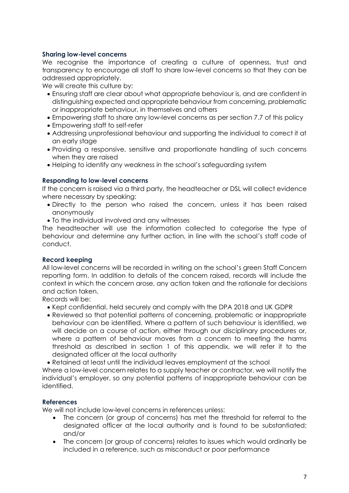## **Sharing low-level concerns**

We recognise the importance of creating a culture of openness, trust and transparency to encourage all staff to share low-level concerns so that they can be addressed appropriately.

We will create this culture by:

- Ensuring staff are clear about what appropriate behaviour is, and are confident in distinguishing expected and appropriate behaviour from concerning, problematic or inappropriate behaviour, in themselves and others
- Empowering staff to share any low-level concerns as per section 7.7 of this policy
- Empowering staff to self-refer
- Addressing unprofessional behaviour and supporting the individual to correct it at an early stage
- Providing a responsive, sensitive and proportionate handling of such concerns when they are raised
- Helping to identify any weakness in the school's safeguarding system

#### **Responding to low-level concerns**

If the concern is raised via a third party, the headteacher or DSL will collect evidence where necessary by speaking:

- Directly to the person who raised the concern, unless it has been raised anonymously
- To the individual involved and any witnesses

The headteacher will use the information collected to categorise the type of behaviour and determine any further action, in line with the school's staff code of conduct.

#### **Record keeping**

All low-level concerns will be recorded in writing on the school's green Staff Concern reporting form. In addition to details of the concern raised, records will include the context in which the concern arose, any action taken and the rationale for decisions and action taken.

Records will be:

- Kept confidential, held securely and comply with the DPA 2018 and UK GDPR
- Reviewed so that potential patterns of concerning, problematic or inappropriate behaviour can be identified. Where a pattern of such behaviour is identified, we will decide on a course of action, either through our disciplinary procedures or, where a pattern of behaviour moves from a concern to meeting the harms threshold as described in section 1 of this appendix, we will refer it to the designated officer at the local authority

Retained at least until the individual leaves employment at the school

Where a low-level concern relates to a supply teacher or contractor, we will notify the individual's employer, so any potential patterns of inappropriate behaviour can be identified.

#### **References**

We will not include low-level concerns in references unless:

- The concern (or group of concerns) has met the threshold for referral to the designated officer at the local authority and is found to be substantiated; and/or
- The concern (or group of concerns) relates to issues which would ordinarily be included in a reference, such as misconduct or poor performance